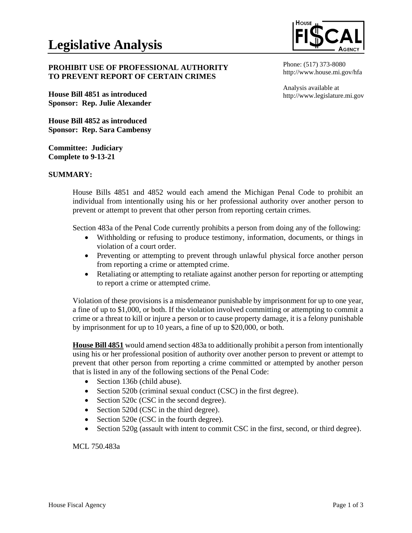

Phone: (517) 373-8080 http://www.house.mi.gov/hfa

Analysis available at

http://www.legislature.mi.gov

# **PROHIBIT USE OF PROFESSIONAL AUTHORITY TO PREVENT REPORT OF CERTAIN CRIMES**

**House Bill 4851 as introduced Sponsor: Rep. Julie Alexander**

**House Bill 4852 as introduced Sponsor: Rep. Sara Cambensy**

**Committee: Judiciary Complete to 9-13-21**

# **SUMMARY:**

House Bills 4851 and 4852 would each amend the Michigan Penal Code to prohibit an individual from intentionally using his or her professional authority over another person to prevent or attempt to prevent that other person from reporting certain crimes.

Section 483a of the Penal Code currently prohibits a person from doing any of the following:

- Withholding or refusing to produce testimony, information, documents, or things in violation of a court order.
- Preventing or attempting to prevent through unlawful physical force another person from reporting a crime or attempted crime.
- Retaliating or attempting to retaliate against another person for reporting or attempting to report a crime or attempted crime.

Violation of these provisions is a misdemeanor punishable by imprisonment for up to one year, a fine of up to \$1,000, or both. If the violation involved committing or attempting to commit a crime or a threat to kill or injure a person or to cause property damage, it is a felony punishable by imprisonment for up to 10 years, a fine of up to \$20,000, or both.

**House Bill 4851** would amend section 483a to additionally prohibit a person from intentionally using his or her professional position of authority over another person to prevent or attempt to prevent that other person from reporting a crime committed or attempted by another person that is listed in any of the following sections of the Penal Code:

- Section 136b (child abuse).
- Section 520b (criminal sexual conduct (CSC) in the first degree).
- Section 520c (CSC in the second degree).
- Section 520d (CSC in the third degree).
- Section 520e (CSC in the fourth degree).
- Section 520g (assault with intent to commit CSC in the first, second, or third degree).

MCL 750.483a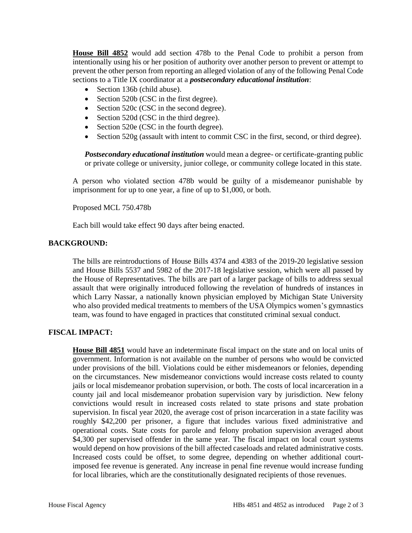**House Bill 4852** would add section 478b to the Penal Code to prohibit a person from intentionally using his or her position of authority over another person to prevent or attempt to prevent the other person from reporting an alleged violation of any of the following Penal Code sections to a Title IX coordinator at a *postsecondary educational institution*:

- Section 136b (child abuse).
- Section 520b (CSC in the first degree).
- Section 520c (CSC in the second degree).
- Section 520d (CSC in the third degree).
- Section 520e (CSC in the fourth degree).
- Section 520g (assault with intent to commit CSC in the first, second, or third degree).

*Postsecondary educational institution* would mean a degree- or certificate-granting public or private college or university, junior college, or community college located in this state.

A person who violated section 478b would be guilty of a misdemeanor punishable by imprisonment for up to one year, a fine of up to \$1,000, or both.

### Proposed MCL 750.478b

Each bill would take effect 90 days after being enacted.

## **BACKGROUND:**

The bills are reintroductions of House Bills 4374 and 4383 of the 2019-20 legislative session and House Bills 5537 and 5982 of the 2017-18 legislative session, which were all passed by the House of Representatives. The bills are part of a larger package of bills to address sexual assault that were originally introduced following the revelation of hundreds of instances in which Larry Nassar, a nationally known physician employed by Michigan State University who also provided medical treatments to members of the USA Olympics women's gymnastics team, was found to have engaged in practices that constituted criminal sexual conduct.

### **FISCAL IMPACT:**

**House Bill 4851** would have an indeterminate fiscal impact on the state and on local units of government. Information is not available on the number of persons who would be convicted under provisions of the bill. Violations could be either misdemeanors or felonies, depending on the circumstances. New misdemeanor convictions would increase costs related to county jails or local misdemeanor probation supervision, or both. The costs of local incarceration in a county jail and local misdemeanor probation supervision vary by jurisdiction. New felony convictions would result in increased costs related to state prisons and state probation supervision. In fiscal year 2020, the average cost of prison incarceration in a state facility was roughly \$42,200 per prisoner, a figure that includes various fixed administrative and operational costs. State costs for parole and felony probation supervision averaged about \$4,300 per supervised offender in the same year. The fiscal impact on local court systems would depend on how provisions of the bill affected caseloads and related administrative costs. Increased costs could be offset, to some degree, depending on whether additional courtimposed fee revenue is generated. Any increase in penal fine revenue would increase funding for local libraries, which are the constitutionally designated recipients of those revenues.